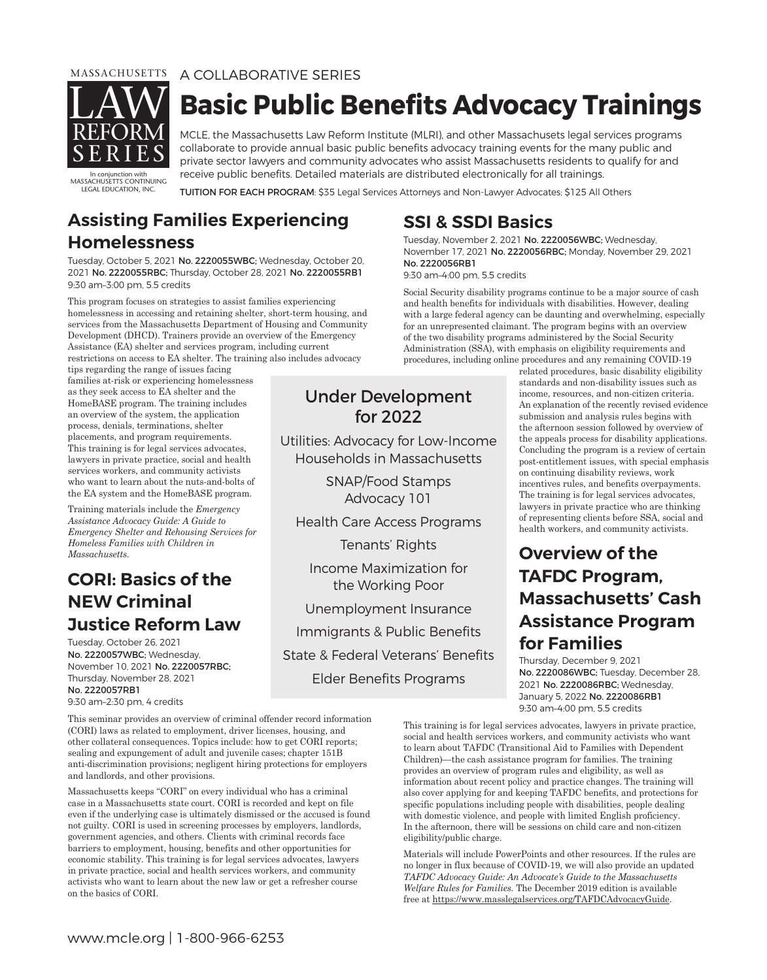

### MASSACHUSETTS A COLLABORATIVE SERIES **Basic Public Benefits Advocacy Trainings**

MCLE, the Massachusetts Law Reform Institute (MLRI), and other Massachusets legal services programs collaborate to provide annual basic public benefits advocacy training events for the many public and private sector lawyers and community advocates who assist Massachusetts residents to qualify for and receive public benefits. Detailed materials are distributed electronically for all trainings.

In conjunction with MASSACHUSETTS CONTINUING LEGAL EDUCATION, INC.

TUITION FOR EACH PROGRAM: \$35 Legal Services Attorneys and Non-Lawyer Advocates; \$125 All Others

# **Assisting Families Experiencing**

**Homelessness** Tuesday, October 5, 2021 No. 2220055WBC; Wednesday, October 20, 2021 No. 2220055RBC; Thursday, October 28, 2021 No. 2220055RB1 9:30 am–3:00 pm, 5.5 credits

This program focuses on strategies to assist families experiencing homelessness in accessing and retaining shelter, short-term housing, and services from the Massachusetts Department of Housing and Community Development (DHCD). Trainers provide an overview of the Emergency Assistance (EA) shelter and services program, including current restrictions on access to EA shelter. The training also includes advocacy

tips regarding the range of issues facing families at-risk or experiencing homelessness as they seek access to EA shelter and the HomeBASE program. The training includes an overview of the system, the application process, denials, terminations, shelter placements, and program requirements. This training is for legal services advocates, lawyers in private practice, social and health services workers, and community activists who want to learn about the nuts-and-bolts of the EA system and the HomeBASE program.

Training materials include the *Emergency Assistance Advocacy Guide: A Guide to Emergency Shelter and Rehousing Services for Homeless Families with Children in Massachusetts.*

### **CORI: Basics of the NEW Criminal Justice Reform Law**

**Justice Reform Law** Tuesday, October 26, 2021 No. 2220057WBC; Wednesday, November 10, 2021 No. 2220057RBC; Thursday, November 28, 2021 No. 2220057RB1 9:30 am–2:30 pm, 4 credits

This seminar provides an overview of criminal offender record information (CORI) laws as related to employment, driver licenses, housing, and other collateral consequences. Topics include: how to get CORI reports; sealing and expungement of adult and juvenile cases; chapter 151B anti-discrimination provisions; negligent hiring protections for employers and landlords, and other provisions.

Massachusetts keeps "CORI" on every individual who has a criminal case in a Massachusetts state court. CORI is recorded and kept on file even if the underlying case is ultimately dismissed or the accused is found not guilty. CORI is used in screening processes by employers, landlords, government agencies, and others. Clients with criminal records face barriers to employment, housing, benefits and other opportunities for economic stability. This training is for legal services advocates, lawyers in private practice, social and health services workers, and community activists who want to learn about the new law or get a refresher course on the basics of CORI.

**SSI & SSDI Basics** Tuesday, November 2, 2021 No. 2220056WBC; Wednesday, November 17, 2021 No. 2220056RBC; Monday, November 29, 2021 No. 2220056RB1 9:30 am–4:00 pm, 5.5 credits

Social Security disability programs continue to be a major source of cash and health benefits for individuals with disabilities. However, dealing with a large federal agency can be daunting and overwhelming, especially for an unrepresented claimant. The program begins with an overview of the two disability programs administered by the Social Security Administration (SSA), with emphasis on eligibility requirements and procedures, including online procedures and any remaining COVID-19

#### Under Development for 2022

Utilities: Advocacy for Low-Income Households in Massachusetts

> SNAP/Food Stamps Advocacy 101

Health Care Access Programs

Tenants' Rights

Income Maximization for the Working Poor

Unemployment Insurance Immigrants & Public Benefits State & Federal Veterans' Benefits

Elder Benefits Programs

related procedures, basic disability eligibility standards and non-disability issues such as income, resources, and non-citizen criteria. An explanation of the recently revised evidence submission and analysis rules begins with the afternoon session followed by overview of the appeals process for disability applications. Concluding the program is a review of certain post-entitlement issues, with special emphasis on continuing disability reviews, work incentives rules, and benefits overpayments. The training is for legal services advocates, lawyers in private practice who are thinking of representing clients before SSA, social and health workers, and community activists.

### **Overview of the TAFDC Program. Massachusetts' Cash Assistance Program for Families**

**for Families** Thursday, December 9, 2021 No. 2220086WBC; Tuesday, December 28, 2021 No. 2220086RBC; Wednesday, January 5, 2022 No. 2220086RB1 9:30 am–4:00 pm, 5.5 credits

This training is for legal services advocates, lawyers in private practice, social and health services workers, and community activists who want to learn about TAFDC (Transitional Aid to Families with Dependent Children)—the cash assistance program for families. The training provides an overview of program rules and eligibility, as well as information about recent policy and practice changes. The training will also cover applying for and keeping TAFDC benefits, and protections for specific populations including people with disabilities, people dealing with domestic violence, and people with limited English proficiency. In the afternoon, there will be sessions on child care and non-citizen eligibility/public charge.

Materials will include PowerPoints and other resources. If the rules are no longer in flux because of COVID-19, we will also provide an updated *TAFDC Advocacy Guide: An Advocate's Guide to the Massachusetts Welfare Rules for Families.* The December 2019 edition is available free at https://www.masslegalservices.org/TAFDCAdvocacyGuide.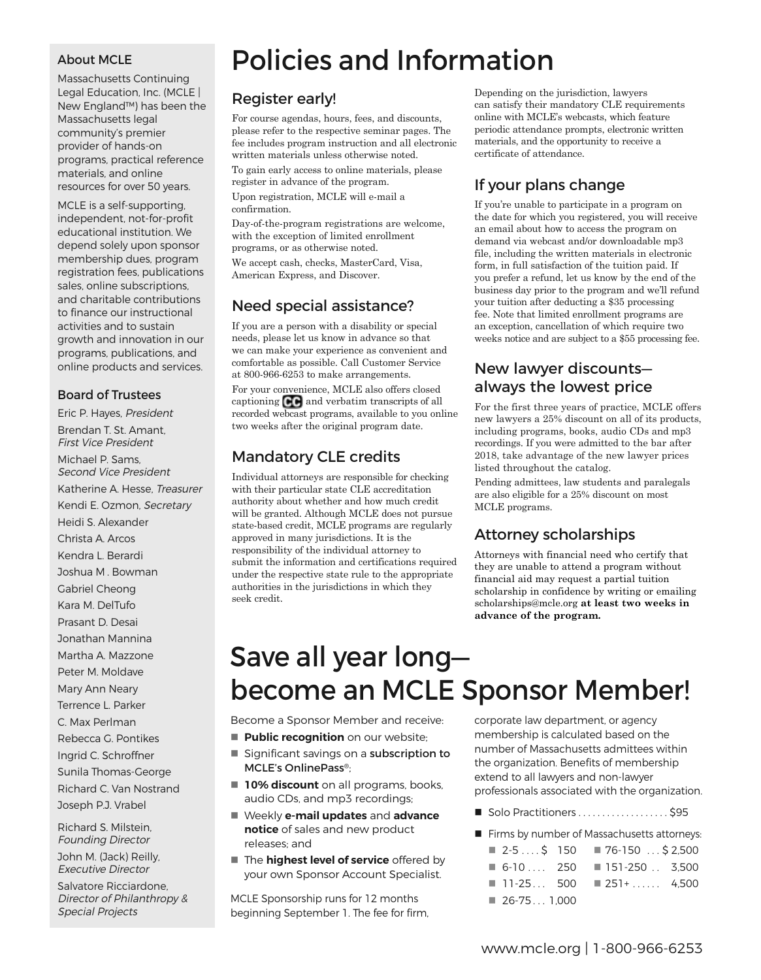#### About MCLE

Massachusetts Continuing Legal Education, Inc. (MCLE | New England™) has been the Massachusetts legal community's premier provider of hands-on programs, practical reference materials, and online resources for over 50 years.

MCLE is a self-supporting, independent, not-for-profit educational institution. We depend solely upon sponsor membership dues, program registration fees, publications sales, online subscriptions, and charitable contributions to finance our instructional activities and to sustain growth and innovation in our programs, publications, and online products and services.

#### Board of Trustees

Eric P. Hayes, President Brendan T. St. Amant, First Vice President Michael P. Sams, Second Vice President Katherine A. Hesse, Treasurer Kendi E. Ozmon, Secretary Heidi S. Alexander Christa A. Arcos Kendra L. Berardi Joshua M . Bowman Gabriel Cheong Kara M. DelTufo Prasant D. Desai Jonathan Mannina Martha A. Mazzone Peter M. Moldave Mary Ann Neary Terrence L. Parker C. Max Perlman Rebecca G. Pontikes Ingrid C. Schroffner Sunila Thomas-George Richard C. Van Nostrand Joseph P.J. Vrabel

Richard S. Milstein, Founding Director

John M. (Jack) Reilly, Executive Director

Salvatore Ricciardone, Director of Philanthropy & Special Projects

## Policies and Information

#### Register early!

For course agendas, hours, fees, and discounts, please refer to the respective seminar pages. The fee includes program instruction and all electronic written materials unless otherwise noted.

To gain early access to online materials, please register in advance of the program. Upon registration, MCLE will e-mail a confirmation.

Day-of-the-program registrations are welcome, with the exception of limited enrollment programs, or as otherwise noted. We accept cash, checks, MasterCard, Visa, American Express, and Discover.

#### Need special assistance?

If you are a person with a disability or special needs, please let us know in advance so that we can make your experience as convenient and comfortable as possible. Call Customer Service at 800-966-6253 to make arrangements. For your convenience, MCLE also offers closed captioning  $\mathbb{C} \mathbb{C}$  and verbatim transcripts of all recorded webcast programs, available to you online two weeks after the original program date.

#### Mandatory CLE credits

Individual attorneys are responsible for checking with their particular state CLE accreditation authority about whether and how much credit will be granted. Although MCLE does not pursue state-based credit, MCLE programs are regularly approved in many jurisdictions. It is the responsibility of the individual attorney to submit the information and certifications required under the respective state rule to the appropriate authorities in the jurisdictions in which they seek credit.

Depending on the jurisdiction, lawyers can satisfy their mandatory CLE requirements online with MCLE's webcasts, which feature periodic attendance prompts, electronic written materials, and the opportunity to receive a certificate of attendance.

#### If your plans change

If you're unable to participate in a program on the date for which you registered, you will receive an email about how to access the program on demand via webcast and/or downloadable mp3 file, including the written materials in electronic form, in full satisfaction of the tuition paid. If you prefer a refund, let us know by the end of the business day prior to the program and we'll refund your tuition after deducting a \$35 processing fee. Note that limited enrollment programs are an exception, cancellation of which require two weeks notice and are subject to a \$55 processing fee.

#### New lawyer discounts always the lowest price

For the first three years of practice, MCLE offers new lawyers a 25% discount on all of its products, including programs, books, audio CDs and mp3 recordings. If you were admitted to the bar after 2018, take advantage of the new lawyer prices listed throughout the catalog.

Pending admittees, law students and paralegals are also eligible for a 25% discount on most MCLE programs.

#### Attorney scholarships

Attorneys with financial need who certify that they are unable to attend a program without financial aid may request a partial tuition scholarship in confidence by writing or emailing scholarships@mcle.org **at least two weeks in advance of the program.**

### Save all year long become an MCLE Sponsor Member!

Become a Sponsor Member and receive:

- **Public recognition** on our website;
- Significant savings on a subscription to MCLE's OnlinePass®;
- **10% discount** on all programs, books, audio CDs, and mp3 recordings;
- n Weekly **e-mail updates** and **advance notice** of sales and new product releases; and
- **n** The **highest level of service** offered by your own Sponsor Account Specialist.

MCLE Sponsorship runs for 12 months beginning September 1. The fee for firm, corporate law department, or agency membership is calculated based on the number of Massachusetts admittees within the organization. Benefits of membership extend to all lawyers and non-lawyer professionals associated with the organization.

 $\blacksquare$  Solo Practitioners . . . . . . . . . . . . . . . . . \$95

Firms by number of Massachusetts attorneys:

|              | $\blacksquare$ 2-5\$ 150 $\blacksquare$ 76-150 \$ 2,500 |  |
|--------------|---------------------------------------------------------|--|
|              | $\blacksquare$ 6-10 250 $\blacksquare$ 151-250 3.500    |  |
|              | $11-25$ 500 $251+$ 4,500                                |  |
| $26-751,000$ |                                                         |  |